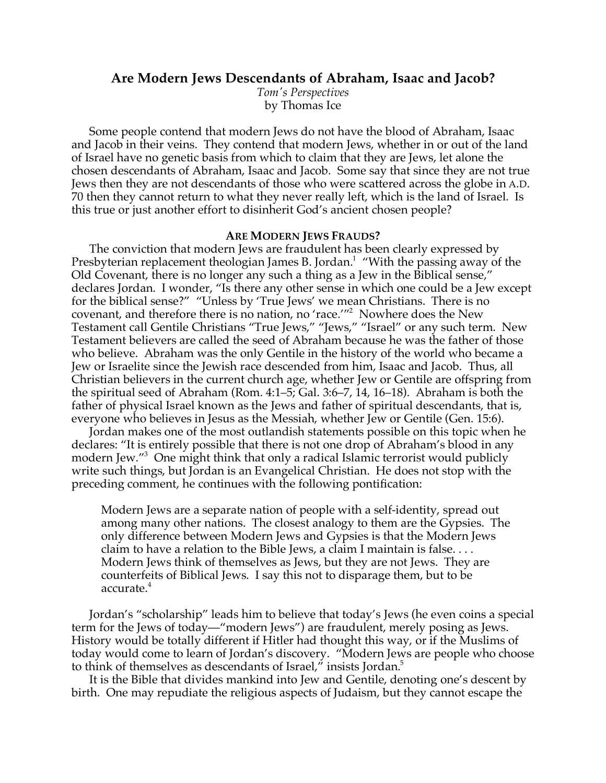## **Are Modern Jews Descendants of Abraham, Isaac and Jacob?**

*Tom's Perspectives* by Thomas Ice

Some people contend that modern Jews do not have the blood of Abraham, Isaac and Jacob in their veins. They contend that modern Jews, whether in or out of the land of Israel have no genetic basis from which to claim that they are Jews, let alone the chosen descendants of Abraham, Isaac and Jacob. Some say that since they are not true Jews then they are not descendants of those who were scattered across the globe in A.D. 70 then they cannot return to what they never really left, which is the land of Israel. Is this true or just another effort to disinherit God's ancient chosen people?

## **ARE MODERN JEWS FRAUDS?**

The conviction that modern Jews are fraudulent has been clearly expressed by Presbyterian replacement theologian James B. Jordan.<sup>1</sup> "With the passing away of the Old Covenant, there is no longer any such a thing as a Jew in the Biblical sense," declares Jordan. I wonder, "Is there any other sense in which one could be a Jew except for the biblical sense?" "Unless by 'True Jews' we mean Christians. There is no covenant, and therefore there is no nation, no 'race.'"2 Nowhere does the New Testament call Gentile Christians "True Jews," "Jews," "Israel" or any such term. New Testament believers are called the seed of Abraham because he was the father of those who believe. Abraham was the only Gentile in the history of the world who became a Jew or Israelite since the Jewish race descended from him, Isaac and Jacob. Thus, all Christian believers in the current church age, whether Jew or Gentile are offspring from the spiritual seed of Abraham (Rom. 4:1–5; Gal. 3:6–7, 14, 16–18). Abraham is both the father of physical Israel known as the Jews and father of spiritual descendants, that is, everyone who believes in Jesus as the Messiah, whether Jew or Gentile (Gen. 15:6).

Jordan makes one of the most outlandish statements possible on this topic when he declares: "It is entirely possible that there is not one drop of Abraham's blood in any modern Jew."3 One might think that only a radical Islamic terrorist would publicly write such things, but Jordan is an Evangelical Christian. He does not stop with the preceding comment, he continues with the following pontification:

Modern Jews are a separate nation of people with a self-identity, spread out among many other nations. The closest analogy to them are the Gypsies. The only difference between Modern Jews and Gypsies is that the Modern Jews claim to have a relation to the Bible Jews, a claim I maintain is false. . . . Modern Jews think of themselves as Jews, but they are not Jews. They are counterfeits of Biblical Jews. I say this not to disparage them, but to be accurate.<sup>4</sup>

Jordan's "scholarship" leads him to believe that today's Jews (he even coins a special term for the Jews of today—"modern Jews") are fraudulent, merely posing as Jews. History would be totally different if Hitler had thought this way, or if the Muslims of today would come to learn of Jordan's discovery. "Modern Jews are people who choose to think of themselves as descendants of Israel," insists Jordan.<sup>5</sup>

It is the Bible that divides mankind into Jew and Gentile, denoting one's descent by birth. One may repudiate the religious aspects of Judaism, but they cannot escape the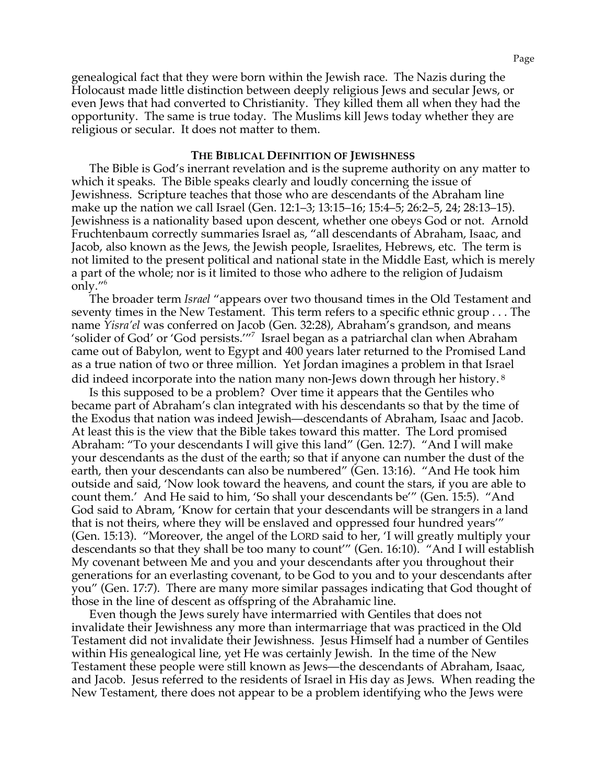genealogical fact that they were born within the Jewish race. The Nazis during the Holocaust made little distinction between deeply religious Jews and secular Jews, or even Jews that had converted to Christianity. They killed them all when they had the opportunity. The same is true today. The Muslims kill Jews today whether they are religious or secular. It does not matter to them.

## **THE BIBLICAL DEFINITION OF JEWISHNESS**

The Bible is God's inerrant revelation and is the supreme authority on any matter to which it speaks. The Bible speaks clearly and loudly concerning the issue of Jewishness. Scripture teaches that those who are descendants of the Abraham line make up the nation we call Israel (Gen. 12:1–3; 13:15–16; 15:4–5; 26:2–5, 24; 28:13–15). Jewishness is a nationality based upon descent, whether one obeys God or not. Arnold Fruchtenbaum correctly summaries Israel as, "all descendants of Abraham, Isaac, and Jacob, also known as the Jews, the Jewish people, Israelites, Hebrews, etc. The term is not limited to the present political and national state in the Middle East, which is merely a part of the whole; nor is it limited to those who adhere to the religion of Judaism only."6

The broader term *Israel* "appears over two thousand times in the Old Testament and seventy times in the New Testament. This term refers to a specific ethnic group . . . The name *Yisra'el* was conferred on Jacob (Gen. 32:28), Abraham's grandson, and means 'solider of God' or 'God persists.'"7 Israel began as a patriarchal clan when Abraham came out of Babylon, went to Egypt and 400 years later returned to the Promised Land as a true nation of two or three million. Yet Jordan imagines a problem in that Israel did indeed incorporate into the nation many non-Jews down through her history. <sup>8</sup>

Is this supposed to be a problem? Over time it appears that the Gentiles who became part of Abraham's clan integrated with his descendants so that by the time of the Exodus that nation was indeed Jewish—descendants of Abraham, Isaac and Jacob. At least this is the view that the Bible takes toward this matter. The Lord promised Abraham: "To your descendants I will give this land" (Gen. 12:7). "And I will make your descendants as the dust of the earth; so that if anyone can number the dust of the earth, then your descendants can also be numbered" (Gen. 13:16). "And He took him outside and said, 'Now look toward the heavens, and count the stars, if you are able to count them.' And He said to him, 'So shall your descendants be'" (Gen. 15:5). "And God said to Abram, 'Know for certain that your descendants will be strangers in a land that is not theirs, where they will be enslaved and oppressed four hundred years'" (Gen. 15:13). "Moreover, the angel of the LORD said to her, 'I will greatly multiply your descendants so that they shall be too many to count'" (Gen. 16:10). "And I will establish My covenant between Me and you and your descendants after you throughout their generations for an everlasting covenant, to be God to you and to your descendants after you" (Gen. 17:7). There are many more similar passages indicating that God thought of those in the line of descent as offspring of the Abrahamic line.

Even though the Jews surely have intermarried with Gentiles that does not invalidate their Jewishness any more than intermarriage that was practiced in the Old Testament did not invalidate their Jewishness. Jesus Himself had a number of Gentiles within His genealogical line, yet He was certainly Jewish. In the time of the New Testament these people were still known as Jews—the descendants of Abraham, Isaac, and Jacob. Jesus referred to the residents of Israel in His day as Jews. When reading the New Testament, there does not appear to be a problem identifying who the Jews were